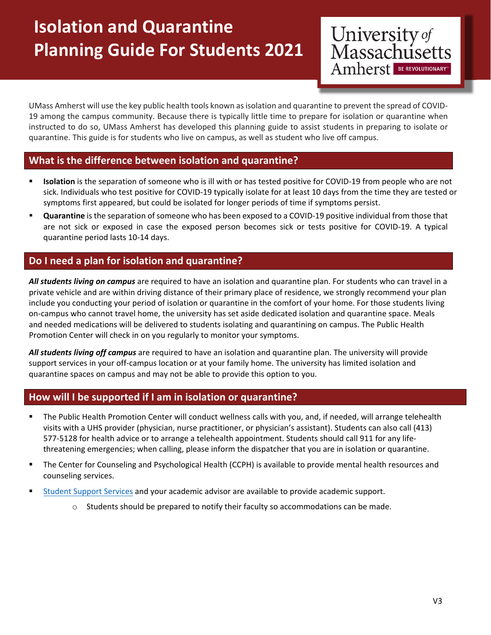# **Isolation and Quarantine Planning Guide For Students 2021**

University of<br>Massachusetts Amherst BE REVOLUTIONARY

UMass Amherst will use the key public health tools known asisolation and quarantine to prevent the spread of COVID‐ 19 among the campus community. Because there is typically little time to prepare for isolation or quarantine when instructed to do so, UMass Amherst has developed this planning guide to assist students in preparing to isolate or quarantine. This guide is for students who live on campus, as well as student who live off campus.

## **What is the difference between isolation and quarantine?**

- **Isolation** is the separation of someone who is ill with or has tested positive for COVID‐19 from people who are not sick. Individuals who test positive for COVID‐19 typically isolate for at least 10 days from the time they are tested or symptoms first appeared, but could be isolated for longer periods of time if symptoms persist.
- **Quarantine** is the separation of someone who has been exposed to a COVID-19 positive individual from those that are not sick or exposed in case the exposed person becomes sick or tests positive for COVID‐19. A typical quarantine period lasts 10‐14 days.

## **Do I need a plan for isolation and quarantine?**

*All students living on campus* are required to have an isolation and quarantine plan. For students who can travel in a private vehicle and are within driving distance of their primary place of residence, we strongly recommend your plan include you conducting your period of isolation or quarantine in the comfort of your home. For those students living on‐campus who cannot travel home, the university has set aside dedicated isolation and quarantine space. Meals and needed medications will be delivered to students isolating and quarantining on campus. The Public Health Promotion Center will check in on you regularly to monitor your symptoms.

*All students living off campus* are required to have an isolation and quarantine plan. The university will provide support services in your off-campus location or at your family home. The university has limited isolation and quarantine spaces on campus and may not be able to provide this option to you.

## **How will I be supported if I am in isolation or quarantine?**

- **The Public Health Promotion Center will conduct wellness calls with you, and, if needed, will arrange telehealth** visits with a UHS provider (physician, nurse practitioner, or physician's assistant). Students can also call (413) 577‐5128 for health advice or to arrange a telehealth appointment. Students should call 911 for any life‐ threatening emergencies; when calling, please inform the dispatcher that you are in isolation or quarantine.
- The Center for Counseling and Psychological Health (CCPH) is available to provide mental health resources and counseling services.
- Student Support [Services](https://www.umass.edu/coronavirus/student-resources/student-support) and your academic advisor are available to provide academic support.
	- $\circ$  Students should be prepared to notify their faculty so accommodations can be made.